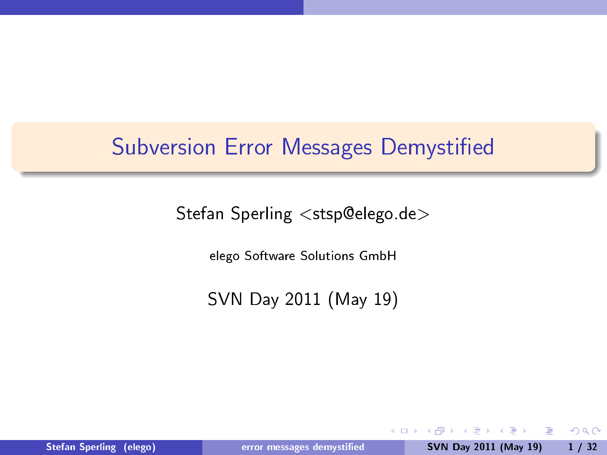# Subversion Error Messages Demystified

Stefan Sperling <stsp@elego.de>

elego Software Solutions GmbH

SVN Day 2011 (May 19)

Stefan Sperling (elego) error messages demystified SVN Day 2011 (May 19) 1 / 32

4 0 8

 $\mathcal{A} \ \overline{\mathcal{B}} \ \rightarrow \quad \overline{\mathcal{B}}$ 

<span id="page-0-0"></span> $2990$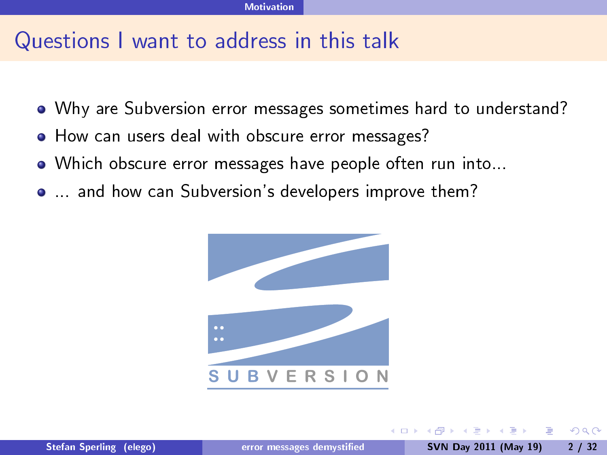# Questions I want to address in this talk

- Why are Subversion error messages sometimes hard to understand?
- How can users deal with obscure error messages?
- Which obscure error messages have people often run into...
- ... and how can Subversion's developers improve them?



<span id="page-1-0"></span> $200$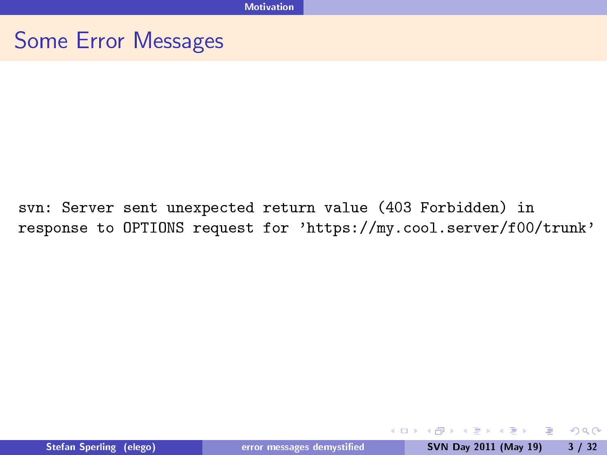<span id="page-2-0"></span>svn: Server sent unexpected return value (403 Forbidden) in response to OPTIONS request for 'https://my.cool.server/f00/trunk'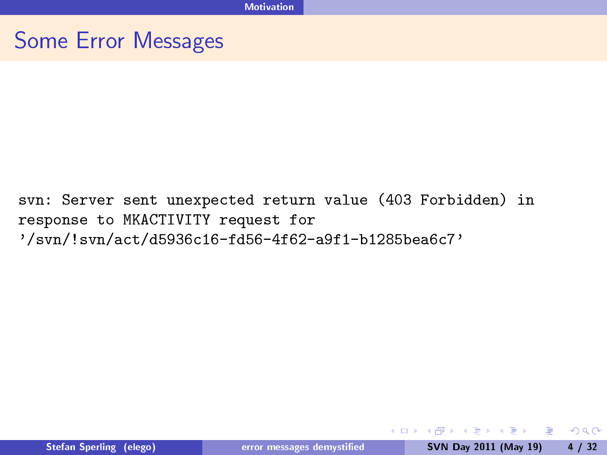svn: Server sent unexpected return value (403 Forbidden) in response to MKACTIVITY request for '/svn/!svn/act/d5936c16-fd56-4f62-a9f1-b1285bea6c7'

**Single** 

<span id="page-3-0"></span> $QQ$ 

イロン イ母ン イヨン イヨン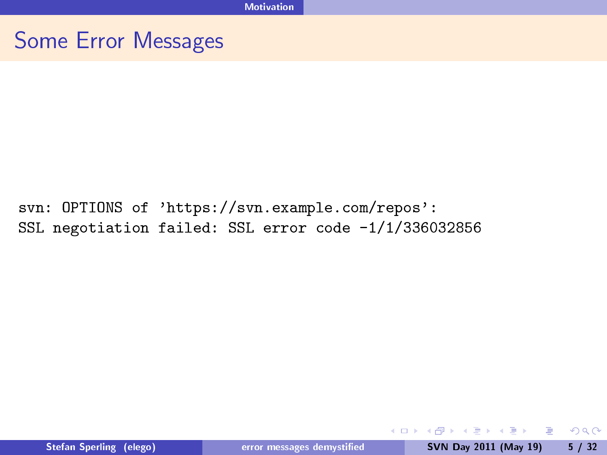<span id="page-4-0"></span>svn: OPTIONS of 'https://svn.example.com/repos': SSL negotiation failed: SSL error code -1/1/336032856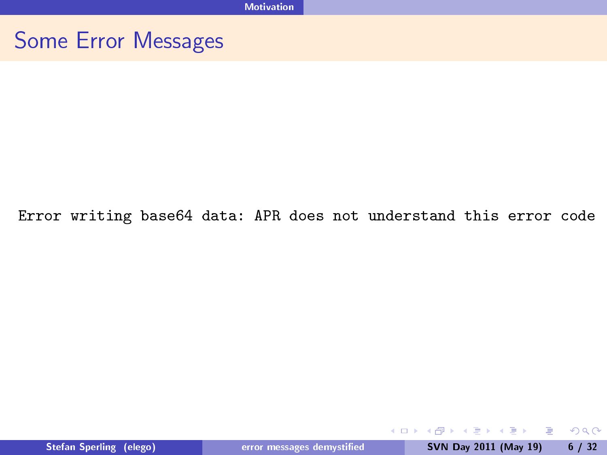#### <span id="page-5-0"></span>Error writing base64 data: APR does not understand this error code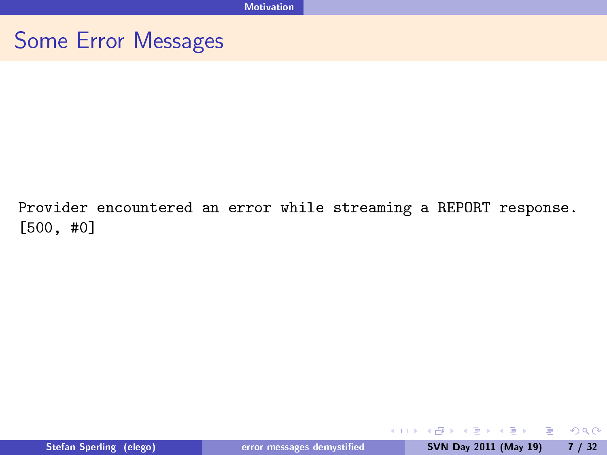<span id="page-6-0"></span>Provider encountered an error while streaming a REPORT response. [500, #0]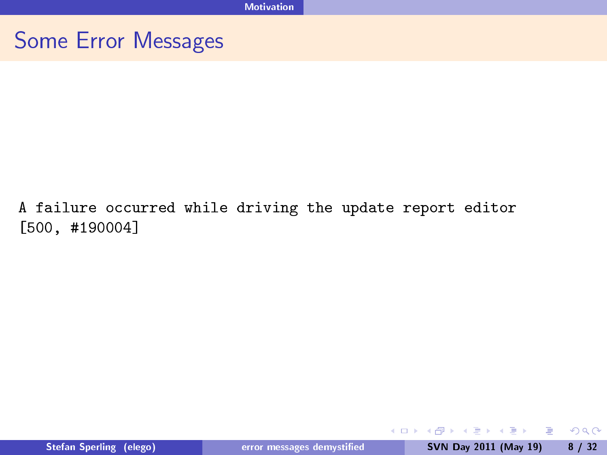#### A failure occurred while driving the update report editor [500, #190004]

<span id="page-7-0"></span> $QQ$ 

イロト 大部分 大唐 トメ 唐 トー 唐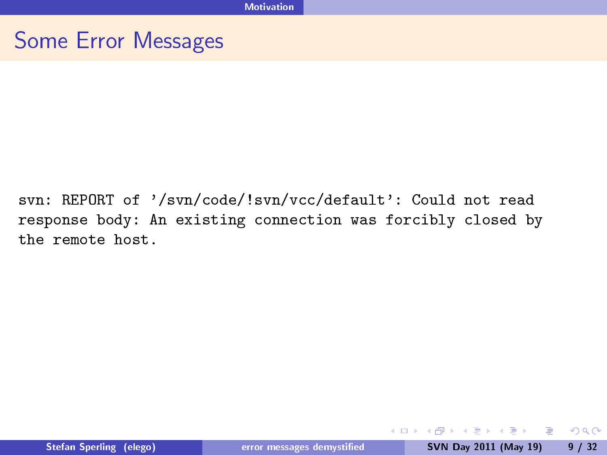svn: REPORT of '/svn/code/!svn/vcc/default': Could not read response body: An existing connection was forcibly closed by the remote host.

<span id="page-8-0"></span> $OQ$ 

 $\mathbf{C} = \mathbf{A} \oplus \mathbf{B} + \mathbf{A} \oplus \mathbf{B} + \mathbf{A} \oplus \mathbf{B} + \mathbf{A} \oplus \mathbf{B} + \mathbf{A} \oplus \mathbf{B} + \mathbf{A} \oplus \mathbf{B} + \mathbf{A} \oplus \mathbf{B} + \mathbf{A} \oplus \mathbf{B} + \mathbf{A} \oplus \mathbf{B} + \mathbf{A} \oplus \mathbf{B} + \mathbf{A} \oplus \mathbf{B} + \mathbf{A} \oplus \mathbf{B} + \mathbf{A} \oplus \mathbf{B} + \mathbf{A$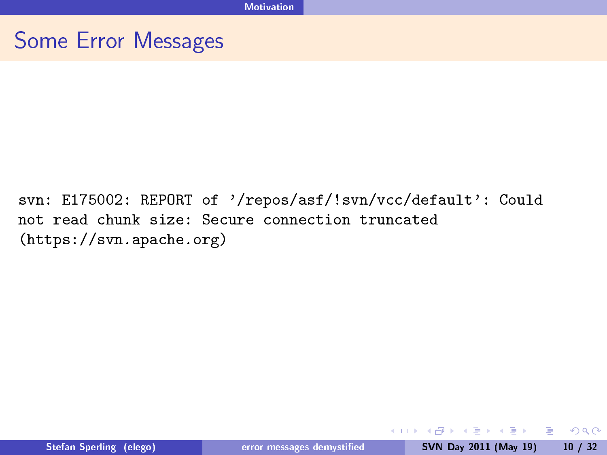<span id="page-9-0"></span>svn: E175002: REPORT of '/repos/asf/!svn/vcc/default': Could not read chunk size: Secure connection truncated (https://svn.apache.org)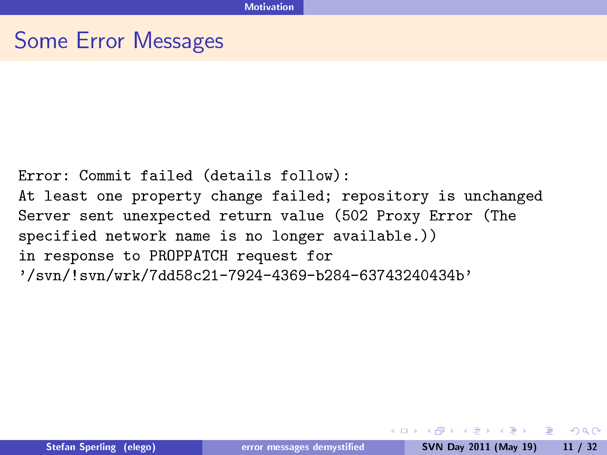Error: Commit failed (details follow): At least one property change failed; repository is unchanged Server sent unexpected return value (502 Proxy Error (The specified network name is no longer available.)) in response to PROPPATCH request for '/svn/!svn/wrk/7dd58c21-7924-4369-b284-63743240434b'

<span id="page-10-0"></span>KED KAP KIED KIED IE VOQO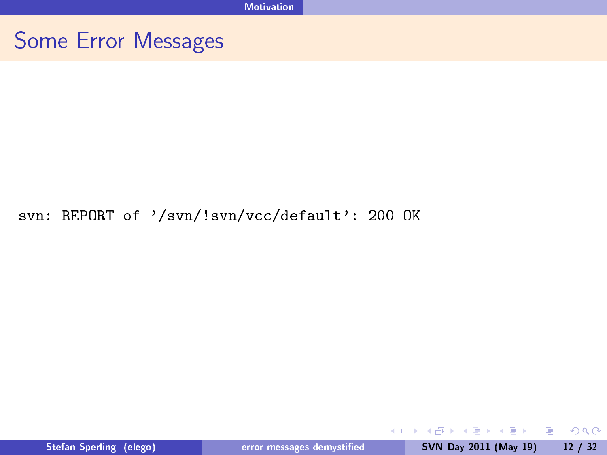#### svn: REPORT of '/svn/!svn/vcc/default': 200 OK

Stefan Sperling (elego) error messages demystified SVN Day 2011 (May 19) 12 / 32

**◆ ロ ▶ → 伊** 

▶ 제품 > 제품 > 이 품이 90 Q ^

<span id="page-11-0"></span>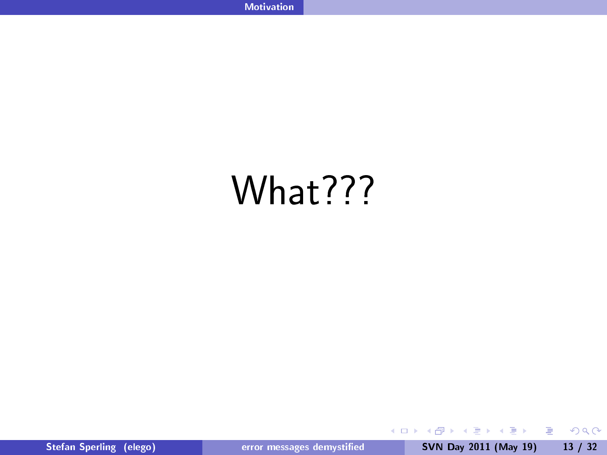# What???

 $\langle \bigcap \mathbb{P} \rangle$   $\rightarrow$   $\langle \bigcap \mathbb{P} \rangle$   $\rightarrow$   $\langle \bigcap \mathbb{P} \rangle$ Stefan Sperling (elego) error messages demystified SVN Day 2011 (May 19) 13 / 32

 $\leftarrow$   $\Box$   $\rightarrow$ 

<span id="page-12-0"></span> $299$ 

目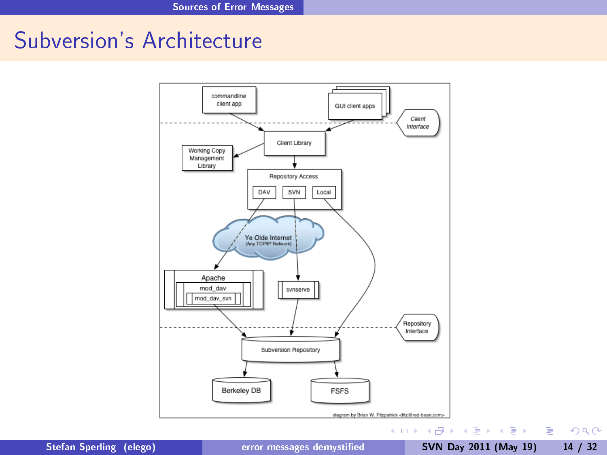# Subversion's Architecture



Stefan Sperling (elego) error messages demystified SVN Day 2011 (May 19) 14 / 32

<span id="page-13-0"></span> $QQ$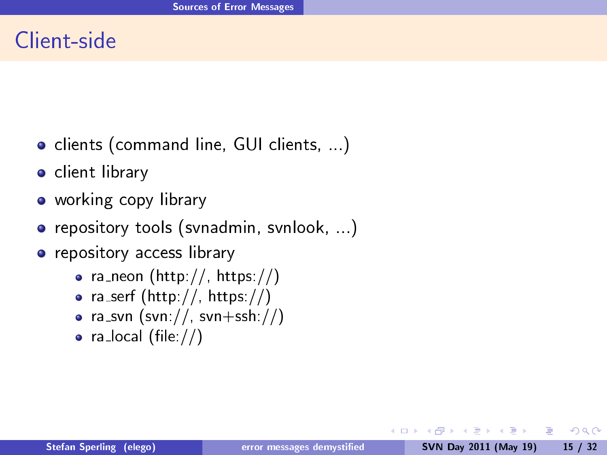# Client-side

- **•** clients (command line, GUI clients, ...)
- **o** client library
- o working copy library
- **•** repository tools (svnadmin, svnlook, ...)
- **•** repository access library
	- ra\_neon (http://, https://)
	- ra\_serf (http://, https://)
	- ra\_svn  $(svn://, svn+ssh://)$
	- $\bullet$  ra\_local (file://)

4 0 8

**GARAGE** 

<span id="page-14-0"></span> $\Omega$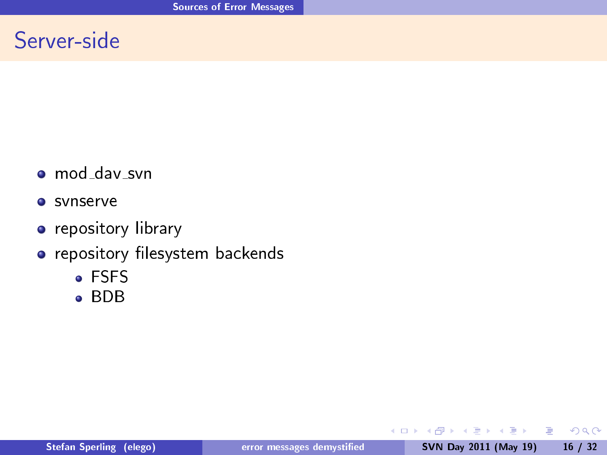# Server-side

- o mod\_dav\_svn
- **o** svnserve
- **•** repository library
- o repository filesystem backends
	- FSFS
	- BDB

4 0 8

 $\equiv$ 

<span id="page-15-0"></span> $2990$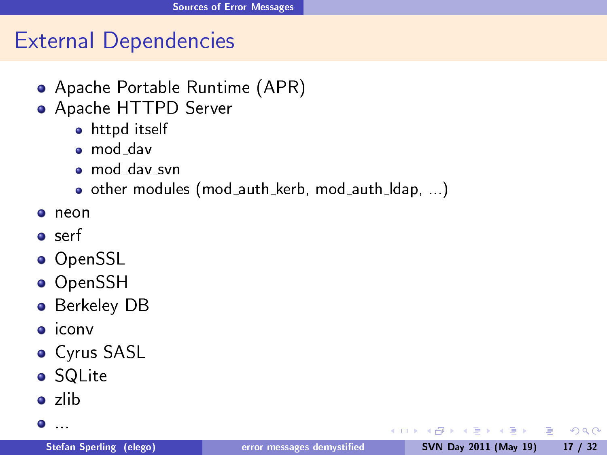# External Dependencies

- Apache Portable Runtime (APR)
- Apache HTTPD Server
	- **•** httpd itself
	- mod dav
	- $\bullet$  mod\_dav\_svn
	- $\bullet$  other modules (mod\_auth\_kerb, mod\_auth\_Idap, ...)
- neon
- o serf
- OpenSSL
- OpenSSH
- **Berkeley DB**
- o iconv
- Cyrus SASL
- SQLite
- zlib
- $\bullet$  . . . .

医毛囊 医毛囊 医心包

4日 8

<span id="page-16-0"></span> $\equiv$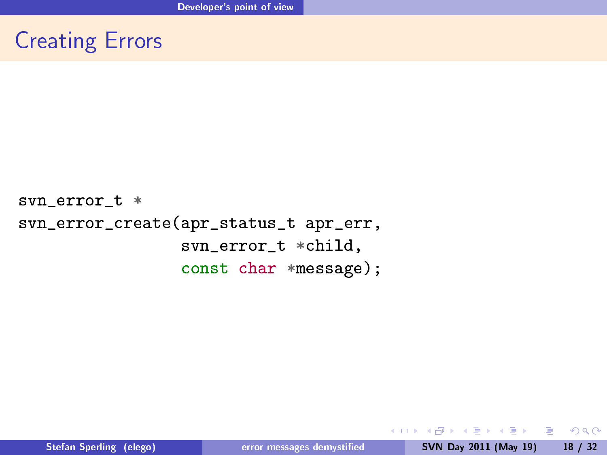# Creating Errors

svn\_error\_t \* svn\_error\_create(apr\_status\_t apr\_err, svn\_error\_t \*child, const char \*message);

**◆ ロ ▶ → 伊** 

<span id="page-17-0"></span>**A REAREA E MAG**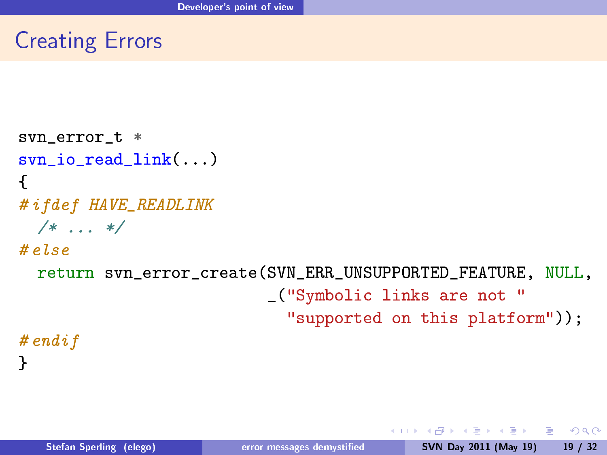# Creating Errors

```
svn_error_t *
svn io read link(...)
{
# ifdef HAVE_READLINK
 /* \ldots */# else
 return svn_error_create(SVN_ERR_UNSUPPORTED_FEATURE, NULL,
                           _("Symbolic links are not "
                             "supported on this platform"));
# endif
```
<span id="page-18-0"></span>}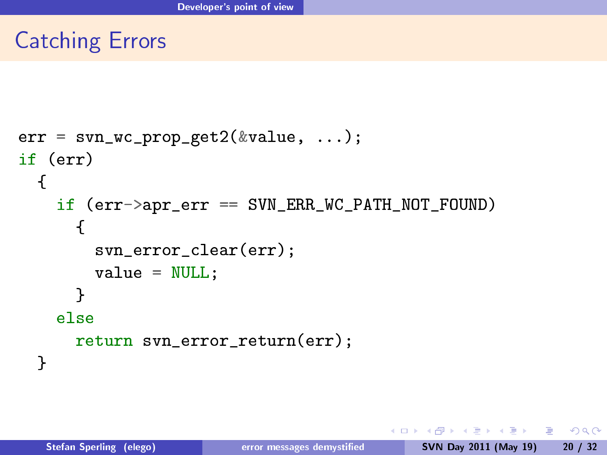# Catching Errors

```
err = svn wc prop get2(\&value, ...);
if (err)
  {
    if (err->apr_err == SVN_ERR_WC_PATH_NOT_FOUND)
      {
        svn_error_clear(err);
        value = NULL;}
    else
      return svn_error_return(err);
  }
```
 $-10.16$ 

**Existence** 

<span id="page-19-0"></span> $\Omega$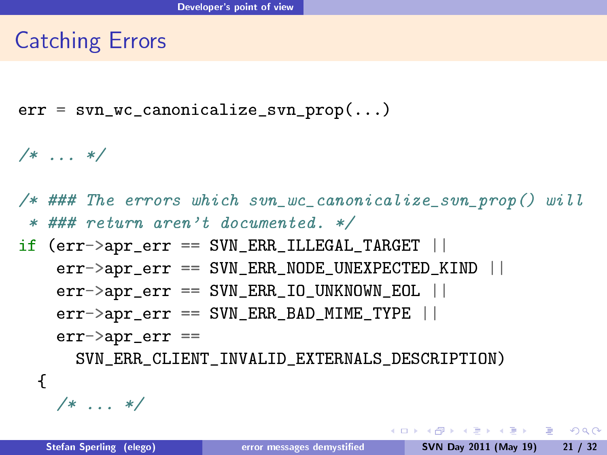# Catching Errors

err = svn\_wc\_canonicalize\_svn\_prop(...)

/\* ... \*/

/\* ### The errors which svn\_wc\_canonicalize\_svn\_prop() will \* ### return aren't documented. \*/

if (err->apr\_err == SVN\_ERR\_ILLEGAL\_TARGET ||  $err->apr_error$  == SVN\_ERR\_NODE\_UNEXPECTED KIND ||  $err$  ->apr\_err == SVN\_ERR\_IO UNKNOWN EOL ||  $err$ ->apr\_err == SVN\_ERR\_BAD\_MIME\_TYPE ||  $err$ ->apr  $err$  ==

SVN\_ERR\_CLIENT\_INVALID\_EXTERNALS\_DESCRIPTION)

 $/* \ldots */$ 

{

<span id="page-20-0"></span>KED KAP KED KED E LOQO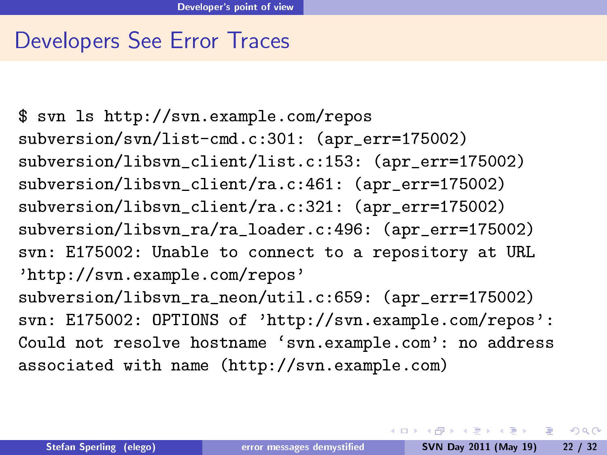#### Developers See Error Traces

<span id="page-21-0"></span>\$ svn ls http://svn.example.com/repos subversion/svn/list-cmd.c:301: (apr\_err=175002) subversion/libsvn\_client/list.c:153: (apr\_err=175002) subversion/libsvn\_client/ra.c:461: (apr\_err=175002) subversion/libsvn client/ra.c:321: (apr err=175002) subversion/libsvn ra/ra loader.c:496: (apr\_err=175002) svn: E175002: Unable to connect to a repository at URL 'http://svn.example.com/repos' subversion/libsvn\_ra\_neon/util.c:659: (apr\_err=175002) svn: E175002: OPTIONS of 'http://svn.example.com/repos': Could not resolve hostname `svn.example.com': no address associated with name (http://svn.example.com)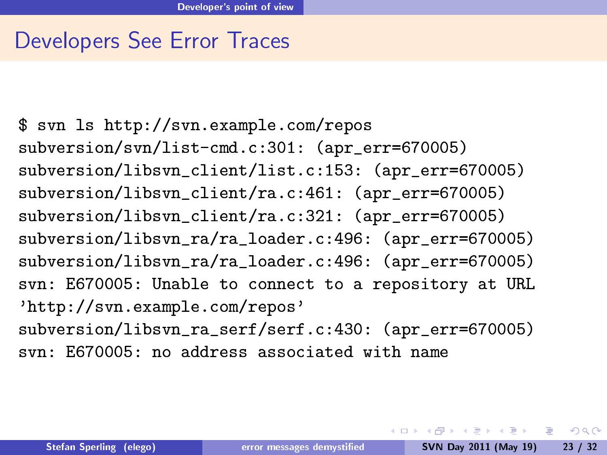# Developers See Error Traces

```
$ svn ls http://svn.example.com/repos
subversion/svn/list-cmd.c:301: (apr err=670005)
subversion/libsvn client/list.c:153: (apr_err=670005)
subversion/libsvn_client/ra.c:461: (apr_err=670005)
subversion/libsvn_client/ra.c:321: (apr_err=670005)
subversion/libsvn_ra/ra_loader.c:496: (apr_err=670005)
subversion/libsvn_ra/ra_loader.c:496: (apr_err=670005)
svn: E670005: Unable to connect to a repository at URL
'http://svn.example.com/repos'
subversion/libsvn_ra_serf/serf.c:430: (apr_err=670005)
svn: E670005: no address associated with name
```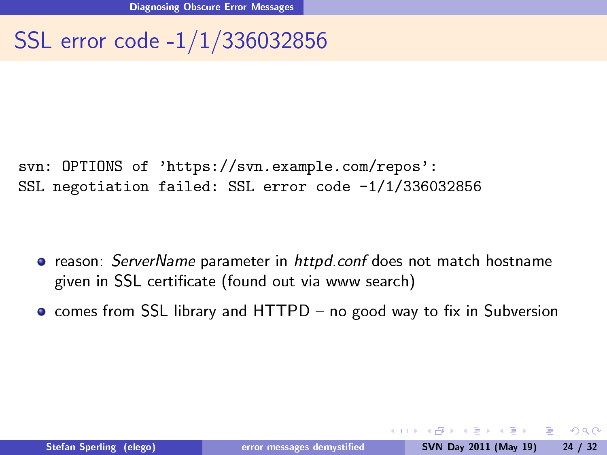# SSL error code -1/1/336032856

svn: OPTIONS of 'https://svn.example.com/repos': SSL negotiation failed: SSL error code -1/1/336032856

- **•** reason: ServerName parameter in httpd.conf does not match hostname given in SSL certificate (found out via www search)
- $\bullet$  comes from SSL library and HTTPD no good way to fix in Subversion

<span id="page-23-0"></span> $\Omega$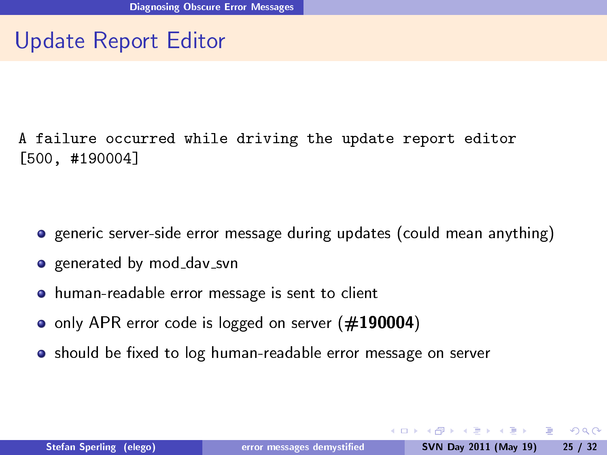# Update Report Editor

A failure occurred while driving the update report editor [500, #190004]

- **•** generic server-side error message during updates (could mean anything)
- **o** generated by mod\_dav\_svn
- human-readable error message is sent to client
- only APR error code is logged on server (#190004)
- **•** should be fixed to log human-readable error message on server

<span id="page-24-0"></span> $200$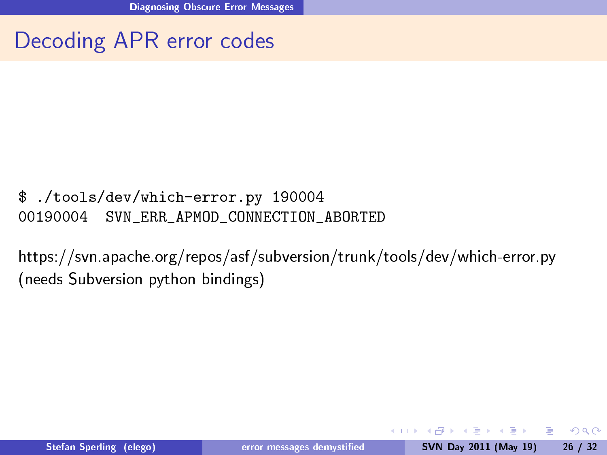# Decoding APR error codes

#### \$ ./tools/dev/which-error.py 190004 00190004 SVN\_ERR\_APMOD\_CONNECTION\_ABORTED

https://svn.apache.org/repos/asf/subversion/trunk/tools/dev/which-error.py (needs Subversion python bindings)

4 0 8

化重变 化重变化重

<span id="page-25-0"></span> $200$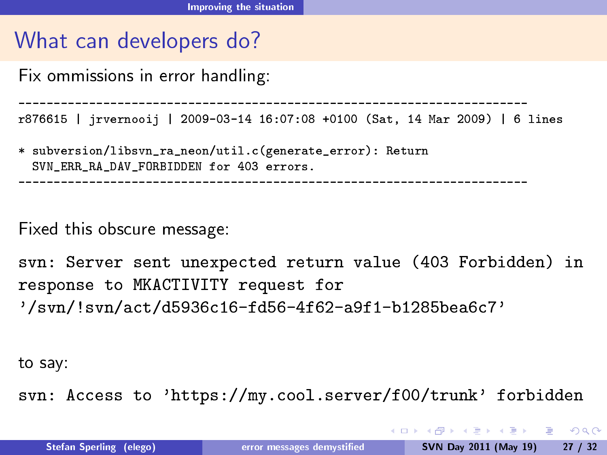Fix ommissions in error handling:

------------------------------------------------------------------------

r876615 | jrvernooij | 2009-03-14 16:07:08 +0100 (Sat, 14 Mar 2009) | 6 lines

\* subversion/libsvn\_ra\_neon/util.c(generate\_error): Return SVN\_ERR\_RA\_DAV\_FORBIDDEN for 403 errors.

------------------------------------------------------------------------

Fixed this obscure message:

svn: Server sent unexpected return value (403 Forbidden) in response to MKACTIVITY request for '/svn/!svn/act/d5936c16-fd56-4f62-a9f1-b1285bea6c7'

to say:

svn: Access to 'https://my.cool.server/f00/trunk' forbidden

<span id="page-26-0"></span>KED KAP KIED KIED IE VOQO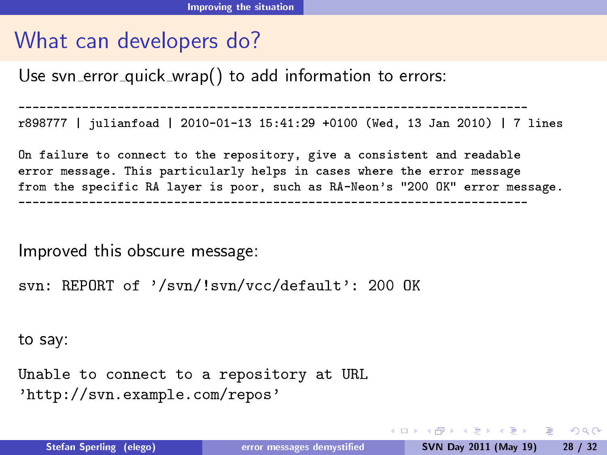Use svn error quick wrap() to add information to errors:

----------------------------------------------------------------------- r898777 | julianfoad | 2010-01-13 15:41:29 +0100 (Wed, 13 Jan 2010) | 7 lines

On failure to connect to the repository, give a consistent and readable error message. This particularly helps in cases where the error message from the specific RA layer is poor, such as RA-Neon's "200 OK" error message. ------------------------------------------------------------------------

Improved this obscure message:

```
svn: REPORT of '/svn/!svn/vcc/default': 200 OK
```
to say:

Unable to connect to a repository at URL 'http://svn.example.com/repos'

<span id="page-27-0"></span>KED KAP KED KED E LOQO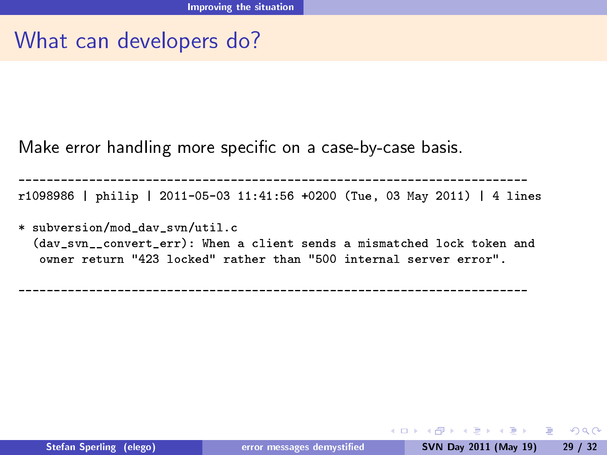Make error handling more specific on a case-by-case basis.

----------------------------------------------------------------------- r1098986 | philip | 2011-05-03 11:41:56 +0200 (Tue, 03 May 2011) | 4 lines

\* subversion/mod\_dav\_svn/util.c (day syn convert err): When a client sends a mismatched lock token and owner return "423 locked" rather than "500 internal server error".

<span id="page-28-0"></span>------------------------------------------------------------------------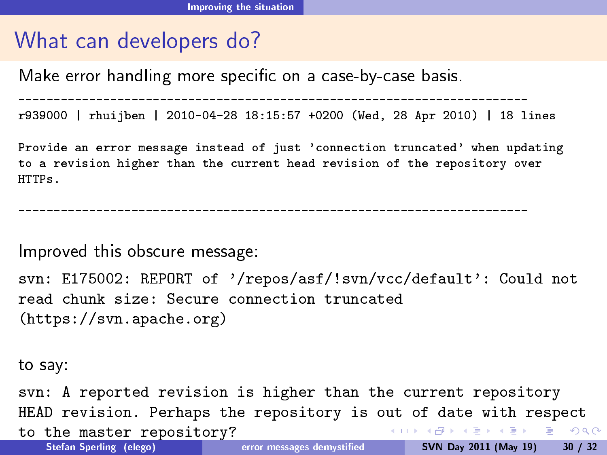Make error handling more specic on a case-by-case basis.

------------------------------------------------------------------------

r939000 | rhuijben | 2010-04-28 18:15:57 +0200 (Wed, 28 Apr 2010) | 18 lines

Provide an error message instead of just 'connection truncated' when updating to a revision higher than the current head revision of the repository over HTTPs.

------------------------------------------------------------------------

Improved this obscure message:

```
svn: E175002: REPORT of '/repos/asf/!svn/vcc/default': Could not
read chunk size: Secure connection truncated
(https://svn.apache.org)
```
to say:

<span id="page-29-0"></span>svn: A reported revision is higher than the current repository HEAD revision. Perhaps the repository is out of date with respect **KORK ERKER ADA DE VOLCH** to the master repository?<br>Stefan Sperling (elego) error messages demystified SVN Day 2011 (May 19) 30 / 32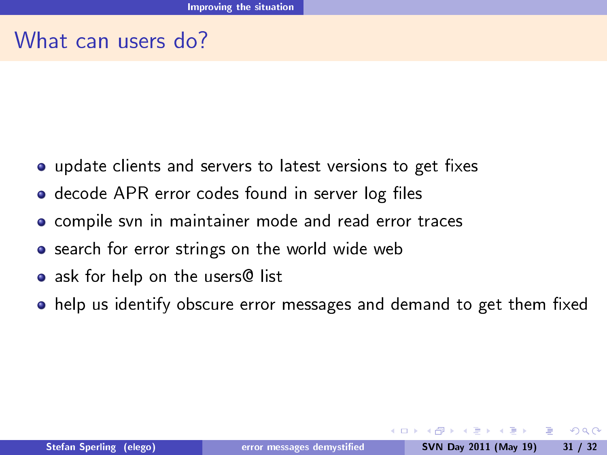# What can users do?

- update clients and servers to latest versions to get fixes
- decode APR error codes found in server log files
- **o** compile svn in maintainer mode and read error traces
- **•** search for error strings on the world wide web
- ask for help on the users@ list
- help us identify obscure error messages and demand to get them fixed

<span id="page-30-0"></span> $\Omega$